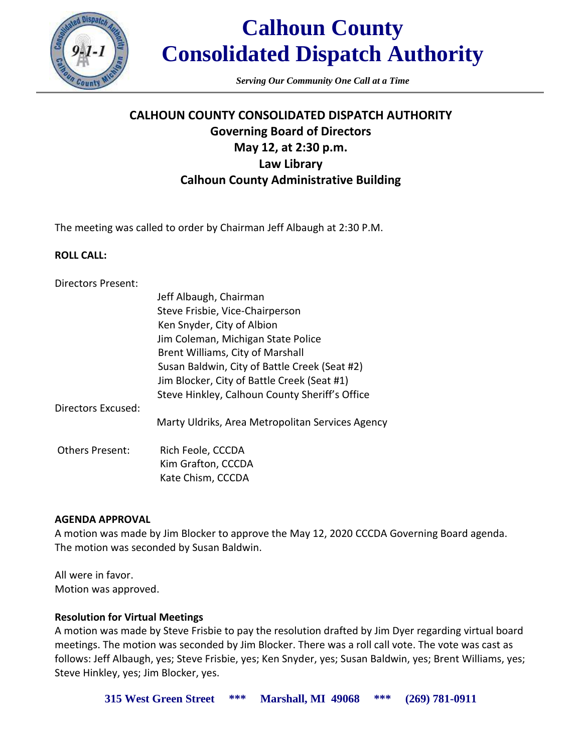

*Serving Our Community One Call at a Time*

### **CALHOUN COUNTY CONSOLIDATED DISPATCH AUTHORITY Governing Board of Directors May 12, at 2:30 p.m. Law Library Calhoun County Administrative Building**

The meeting was called to order by Chairman Jeff Albaugh at 2:30 P.M.

#### **ROLL CALL:**

| <b>Directors Present:</b> |                                                |
|---------------------------|------------------------------------------------|
|                           | Jeff Albaugh, Chairman                         |
|                           | Steve Frisbie, Vice-Chairperson                |
|                           | Ken Snyder, City of Albion                     |
|                           | Jim Coleman, Michigan State Police             |
|                           | Brent Williams, City of Marshall               |
|                           | Susan Baldwin, City of Battle Creek (Seat #2)  |
|                           | Jim Blocker, City of Battle Creek (Seat #1)    |
|                           | Steve Hinkley, Calhoun County Sheriff's Office |
| <b>Directors Excused:</b> |                                                |

Marty Uldriks, Area Metropolitan Services Agency

Others Present: Rich Feole, CCCDA Kim Grafton, CCCDA Kate Chism, CCCDA

#### **AGENDA APPROVAL**

A motion was made by Jim Blocker to approve the May 12, 2020 CCCDA Governing Board agenda. The motion was seconded by Susan Baldwin.

All were in favor. Motion was approved.

#### **Resolution for Virtual Meetings**

A motion was made by Steve Frisbie to pay the resolution drafted by Jim Dyer regarding virtual board meetings. The motion was seconded by Jim Blocker. There was a roll call vote. The vote was cast as follows: Jeff Albaugh, yes; Steve Frisbie, yes; Ken Snyder, yes; Susan Baldwin, yes; Brent Williams, yes; Steve Hinkley, yes; Jim Blocker, yes.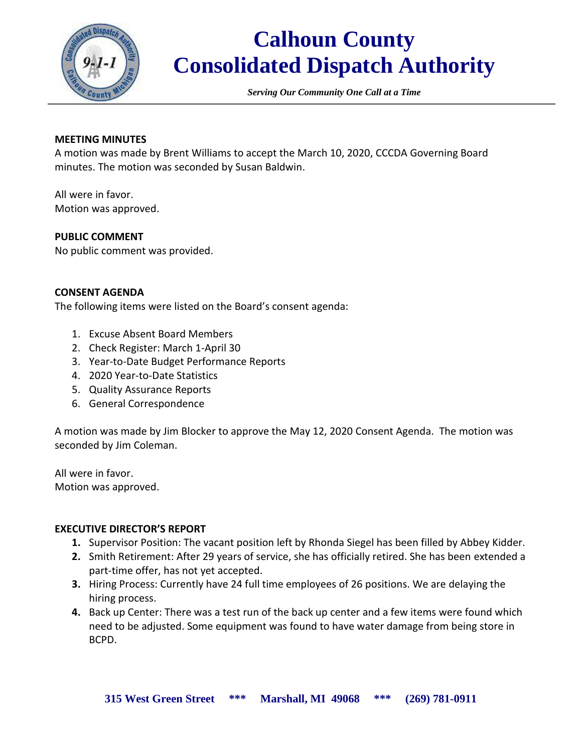

*Serving Our Community One Call at a Time*

#### **MEETING MINUTES**

A motion was made by Brent Williams to accept the March 10, 2020, CCCDA Governing Board minutes. The motion was seconded by Susan Baldwin.

All were in favor. Motion was approved.

#### **PUBLIC COMMENT**

No public comment was provided.

#### **CONSENT AGENDA**

The following items were listed on the Board's consent agenda:

- 1. Excuse Absent Board Members
- 2. Check Register: March 1-April 30
- 3. Year-to-Date Budget Performance Reports
- 4. 2020 Year-to-Date Statistics
- 5. Quality Assurance Reports
- 6. General Correspondence

A motion was made by Jim Blocker to approve the May 12, 2020 Consent Agenda. The motion was seconded by Jim Coleman.

All were in favor. Motion was approved.

#### **EXECUTIVE DIRECTOR'S REPORT**

- **1.** Supervisor Position: The vacant position left by Rhonda Siegel has been filled by Abbey Kidder.
- **2.** Smith Retirement: After 29 years of service, she has officially retired. She has been extended a part-time offer, has not yet accepted.
- **3.** Hiring Process: Currently have 24 full time employees of 26 positions. We are delaying the hiring process.
- **4.** Back up Center: There was a test run of the back up center and a few items were found which need to be adjusted. Some equipment was found to have water damage from being store in BCPD.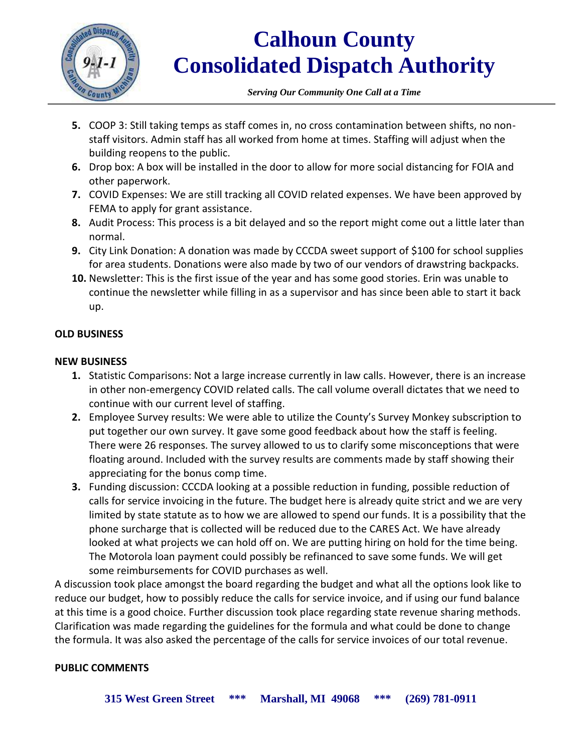

*Serving Our Community One Call at a Time*

- **5.** COOP 3: Still taking temps as staff comes in, no cross contamination between shifts, no nonstaff visitors. Admin staff has all worked from home at times. Staffing will adjust when the building reopens to the public.
- **6.** Drop box: A box will be installed in the door to allow for more social distancing for FOIA and other paperwork.
- **7.** COVID Expenses: We are still tracking all COVID related expenses. We have been approved by FEMA to apply for grant assistance.
- **8.** Audit Process: This process is a bit delayed and so the report might come out a little later than normal.
- **9.** City Link Donation: A donation was made by CCCDA sweet support of \$100 for school supplies for area students. Donations were also made by two of our vendors of drawstring backpacks.
- **10.** Newsletter: This is the first issue of the year and has some good stories. Erin was unable to continue the newsletter while filling in as a supervisor and has since been able to start it back up.

#### **OLD BUSINESS**

#### **NEW BUSINESS**

- **1.** Statistic Comparisons: Not a large increase currently in law calls. However, there is an increase in other non-emergency COVID related calls. The call volume overall dictates that we need to continue with our current level of staffing.
- **2.** Employee Survey results: We were able to utilize the County's Survey Monkey subscription to put together our own survey. It gave some good feedback about how the staff is feeling. There were 26 responses. The survey allowed to us to clarify some misconceptions that were floating around. Included with the survey results are comments made by staff showing their appreciating for the bonus comp time.
- **3.** Funding discussion: CCCDA looking at a possible reduction in funding, possible reduction of calls for service invoicing in the future. The budget here is already quite strict and we are very limited by state statute as to how we are allowed to spend our funds. It is a possibility that the phone surcharge that is collected will be reduced due to the CARES Act. We have already looked at what projects we can hold off on. We are putting hiring on hold for the time being. The Motorola loan payment could possibly be refinanced to save some funds. We will get some reimbursements for COVID purchases as well.

A discussion took place amongst the board regarding the budget and what all the options look like to reduce our budget, how to possibly reduce the calls for service invoice, and if using our fund balance at this time is a good choice. Further discussion took place regarding state revenue sharing methods. Clarification was made regarding the guidelines for the formula and what could be done to change the formula. It was also asked the percentage of the calls for service invoices of our total revenue.

#### **PUBLIC COMMENTS**